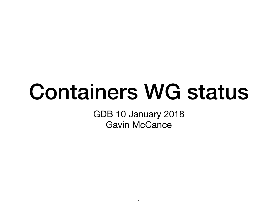#### Containers WG status

GDB 10 January 2018 Gavin McCance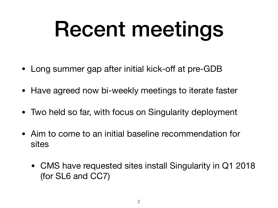## Recent meetings

- Long summer gap after initial kick-off at pre-GDB
- Have agreed now bi-weekly meetings to iterate faster
- Two held so far, with focus on Singularity deployment
- Aim to come to an initial baseline recommendation for sites
	- CMS have requested sites install Singularity in Q1 2018 (for SL6 and CC7)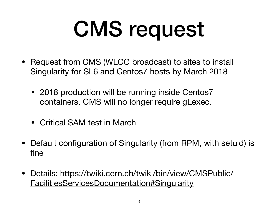# CMS request

- Request from CMS (WLCG broadcast) to sites to install Singularity for SL6 and Centos7 hosts by March 2018
	- 2018 production will be running inside Centos7 containers. CMS will no longer require gLexec.
	- Critical SAM test in March
- Default configuration of Singularity (from RPM, with setuid) is fine
- Details: [https://twiki.cern.ch/twiki/bin/view/CMSPublic/](https://twiki.cern.ch/twiki/bin/view/CMSPublic/FacilitiesServicesDocumentation#Singularity) [FacilitiesServicesDocumentation#Singularity](https://twiki.cern.ch/twiki/bin/view/CMSPublic/FacilitiesServicesDocumentation#Singularity)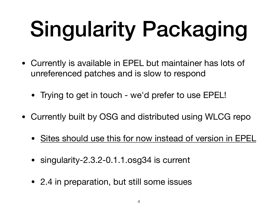# Singularity Packaging

- Currently is available in EPEL but maintainer has lots of unreferenced patches and is slow to respond
	- Trying to get in touch we'd prefer to use EPEL!
- Currently built by OSG and distributed using WLCG repo
	- Sites should use this for now instead of version in EPEL
	- singularity-2.3.2-0.1.1.osg34 is current
	- 2.4 in preparation, but still some issues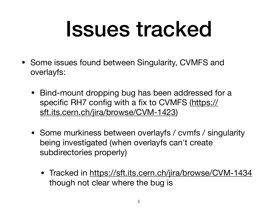#### Issues tracked

- Some issues found between Singularity, CVMFS and overlayfs:
	- Bind-mount dropping bug has been addressed for a specific RH7 config with a fix to CVMFS ([https://](https://sft.its.cern.ch/jira/browse/CVM-1423) [sft.its.cern.ch/jira/browse/CVM-1423\)](https://sft.its.cern.ch/jira/browse/CVM-1423)
	- Some murkiness between overlayfs / cvmfs / singularity being investigated (when overlayfs can't create subdirectories properly)
		- Tracked in<https://sft.its.cern.ch/jira/browse/CVM-1434> though not clear where the bug is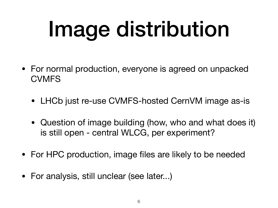# Image distribution

- For normal production, everyone is agreed on unpacked **CVMFS** 
	- LHCb just re-use CVMFS-hosted CernVM image as-is
	- Question of image building (how, who and what does it) is still open - central WLCG, per experiment?
- For HPC production, image files are likely to be needed
- For analysis, still unclear (see later...)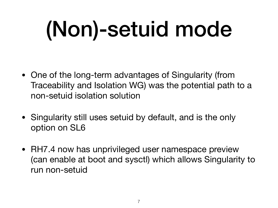# (Non)-setuid mode

- One of the long-term advantages of Singularity (from Traceability and Isolation WG) was the potential path to a non-setuid isolation solution
- Singularity still uses setuid by default, and is the only option on SL6
- RH7.4 now has unprivileged user namespace preview (can enable at boot and sysctl) which allows Singularity to run non-setuid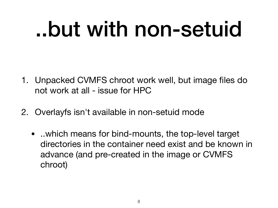### ..but with non-setuid

- 1. Unpacked CVMFS chroot work well, but image files do not work at all - issue for HPC
- 2. Overlayfs isn't available in non-setuid mode
	- ..which means for bind-mounts, the top-level target directories in the container need exist and be known in advance (and pre-created in the image or CVMFS chroot)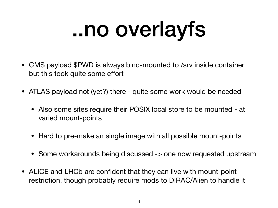## ..no overlayfs

- CMS payload \$PWD is always bind-mounted to /srv inside container but this took quite some effort
- ATLAS payload not (yet?) there quite some work would be needed
	- Also some sites require their POSIX local store to be mounted at varied mount-points
	- Hard to pre-make an single image with all possible mount-points
	- Some workarounds being discussed -> one now requested upstream
- ALICE and LHCb are confident that they can live with mount-point restriction, though probably require mods to DIRAC/Alien to handle it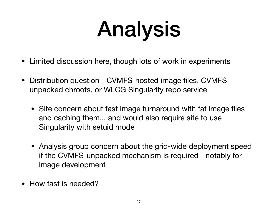## Analysis

- Limited discussion here, though lots of work in experiments
- Distribution question CVMFS-hosted image files, CVMFS unpacked chroots, or WLCG Singularity repo service
	- Site concern about fast image turnaround with fat image files and caching them... and would also require site to use Singularity with setuid mode
	- Analysis group concern about the grid-wide deployment speed if the CVMFS-unpacked mechanism is required - notably for image development
- How fast is needed?